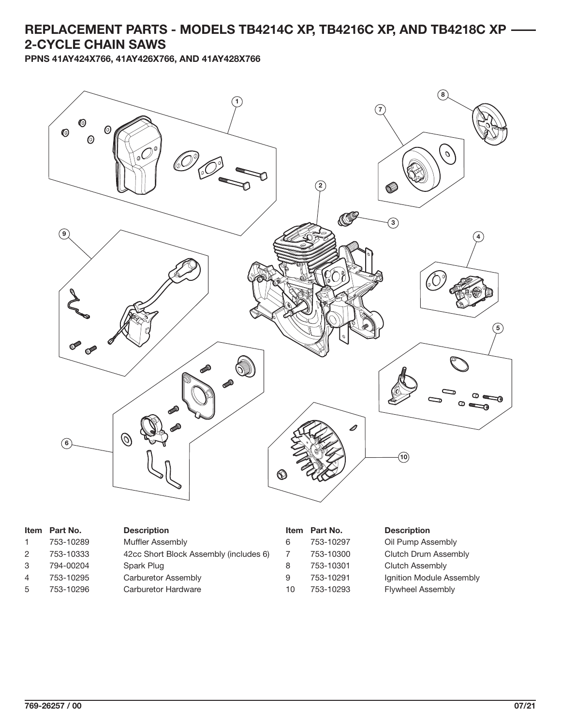## **REPLACEMENT PARTS - MODELS TB4214C XP, TB4216C XP, AND TB4218C XP 2-CYCLE CHAIN SAWS**

**PPNS 41AY424X766, 41AY426X766, AND 41AY428X766**



|   | Item Part No. | <b>Description</b>                     |    | Item Part No. | <b>Description</b>       |
|---|---------------|----------------------------------------|----|---------------|--------------------------|
|   | 753-10289     | Muffler Assembly                       | 6  | 753-10297     | Oil Pump Assembly        |
| 2 | 753-10333     | 42cc Short Block Assembly (includes 6) |    | 753-10300     | Clutch Drum Assembly     |
| 3 | 794-00204     | Spark Plug                             | 8  | 753-10301     | Clutch Assembly          |
| 4 | 753-10295     | Carburetor Assembly                    | 9  | 753-10291     | Ignition Module Assembly |
| 5 | 753-10296     | Carburetor Hardware                    | 10 | 753-10293     | <b>Flywheel Assembly</b> |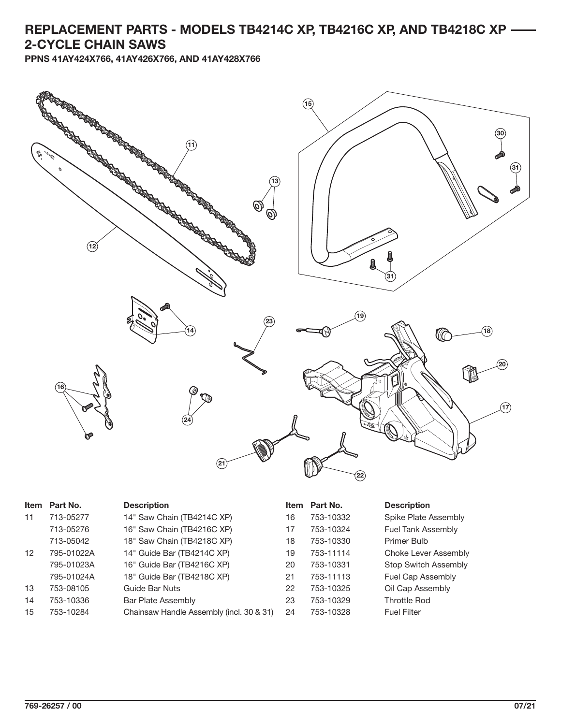## **REPLACEMENT PARTS - MODELS TB4214C XP, TB4216C XP, AND TB4218C XP 2-CYCLE CHAIN SAWS**

**PPNS 41AY424X766, 41AY426X766, AND 41AY428X766**



| <b>Item</b> | Part No.   | <b>Description</b>                       | <b>Item</b> | Part No.  | <b>Description</b>   |
|-------------|------------|------------------------------------------|-------------|-----------|----------------------|
| 11          | 713-05277  | 14" Saw Chain (TB4214C XP)               | 16          | 753-10332 | Spike Plate Assembly |
|             | 713-05276  | 16" Saw Chain (TB4216C XP)               | 17          | 753-10324 | Fuel Tank Assembly   |
|             | 713-05042  | 18" Saw Chain (TB4218C XP)               | 18          | 753-10330 | Primer Bulb          |
| 12          | 795-01022A | 14" Guide Bar (TB4214C XP)               | 19          | 753-11114 | Choke Lever Assembly |
|             | 795-01023A | 16" Guide Bar (TB4216C XP)               | 20          | 753-10331 | Stop Switch Assembly |
|             | 795-01024A | 18" Guide Bar (TB4218C XP)               | 21          | 753-11113 | Fuel Cap Assembly    |
| 13          | 753-08105  | Guide Bar Nuts                           | 22          | 753-10325 | Oil Cap Assembly     |
| 14          | 753-10336  | Bar Plate Assembly                       | 23          | 753-10329 | <b>Throttle Rod</b>  |
| 15          | 753-10284  | Chainsaw Handle Assembly (incl. 30 & 31) | 24          | 753-10328 | <b>Fuel Filter</b>   |